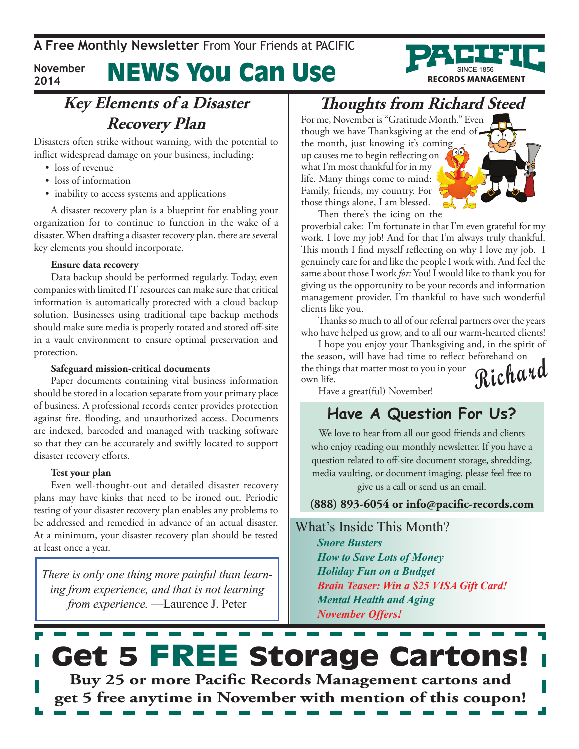#### News You Can Use **November 2014**

#### **Key Elements of a Disaster Recovery Plan**

Disasters often strike without warning, with the potential to inflict widespread damage on your business, including:

- loss of revenue
- loss of information
- inability to access systems and applications

A disaster recovery plan is a blueprint for enabling your organization for to continue to function in the wake of a disaster. When drafting a disaster recovery plan, there are several key elements you should incorporate.

#### **Ensure data recovery**

Data backup should be performed regularly. Today, even companies with limited IT resources can make sure that critical information is automatically protected with a cloud backup solution. Businesses using traditional tape backup methods should make sure media is properly rotated and stored off-site in a vault environment to ensure optimal preservation and protection.

#### **Safeguard mission-critical documents**

Paper documents containing vital business information should be stored in a location separate from your primary place of business. A professional records center provides protection against fire, flooding, and unauthorized access. Documents are indexed, barcoded and managed with tracking software so that they can be accurately and swiftly located to support disaster recovery efforts.

#### **Test your plan**

Even well-thought-out and detailed disaster recovery plans may have kinks that need to be ironed out. Periodic testing of your disaster recovery plan enables any problems to be addressed and remedied in advance of an actual disaster. At a minimum, your disaster recovery plan should be tested at least once a year.

*There is only one thing more painful than learning from experience, and that is not learning from experience.* —Laurence J. Peter

### **Thoughts from Richard Steed**

For me, November is "Gratitude Month." Even though we have Thanksgiving at the end of the month, just knowing it's coming up causes me to begin reflecting on what I'm most thankful for in my life. Many things come to mind: Family, friends, my country. For those things alone, I am blessed.



**RECORDS MANAGEMENT** 

Then there's the icing on the proverbial cake: I'm fortunate in that I'm even grateful for my work. I love my job! And for that I'm always truly thankful. This month I find myself reflecting on why I love my job. I genuinely care for and like the people I work with. And feel the same about those I work *for:* You! I would like to thank you for giving us the opportunity to be your records and information management provider. I'm thankful to have such wonderful clients like you.

Thanks so much to all of our referral partners over the years who have helped us grow, and to all our warm-hearted clients!

**Richard** I hope you enjoy your Thanksgiving and, in the spirit of the season, will have had time to reflect beforehand on the things that matter most to you in your own life.

Have a great(ful) November!

#### **Have A Question For Us?**

We love to hear from all our good friends and clients who enjoy reading our monthly newsletter. If you have a question related to off-site document storage, shredding, media vaulting, or document imaging, please feel free to give us a call or send us an email.

**(888) 893-6054 or info@pacific-records.com**

What's Inside This Month?

*Snore Busters How to Save Lots of Money Holiday Fun on a Budget Brain Teaser: Win a \$25 VISA Gift Card! Mental Health and Aging November Offers!*

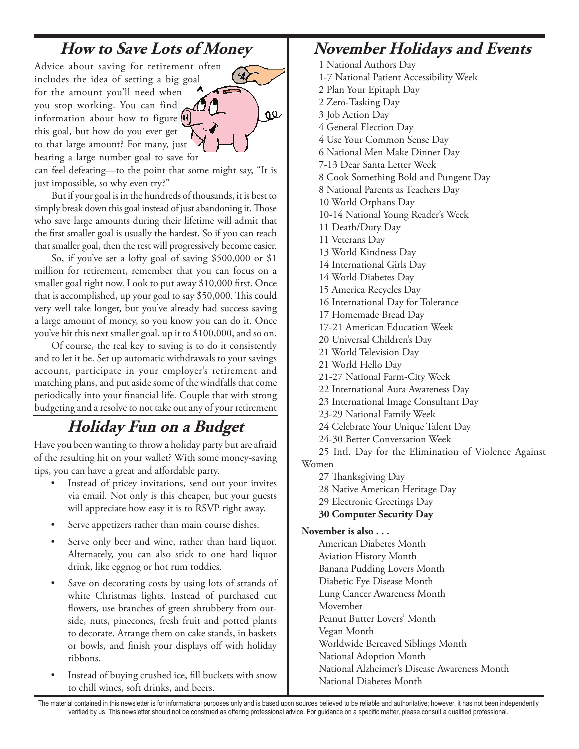### **How to Save Lots of Money**

œ

Advice about saving for retirement often includes the idea of setting a big goal for the amount you'll need when  $\theta$ you stop working. You can find information about how to figure this goal, but how do you ever get to that large amount? For many, just hearing a large number goal to save for

can feel defeating—to the point that some might say, "It is just impossible, so why even try?"

But if your goal is in the hundreds of thousands, it is best to simply break down this goal instead of just abandoning it. Those who save large amounts during their lifetime will admit that the first smaller goal is usually the hardest. So if you can reach that smaller goal, then the rest will progressively become easier.

So, if you've set a lofty goal of saving \$500,000 or \$1 million for retirement, remember that you can focus on a smaller goal right now. Look to put away \$10,000 first. Once that is accomplished, up your goal to say \$50,000. This could very well take longer, but you've already had success saving a large amount of money, so you know you can do it. Once you've hit this next smaller goal, up it to \$100,000, and so on.

Of course, the real key to saving is to do it consistently and to let it be. Set up automatic withdrawals to your savings account, participate in your employer's retirement and matching plans, and put aside some of the windfalls that come periodically into your financial life. Couple that with strong budgeting and a resolve to not take out any of your retirement

### **Holiday Fun on a Budget**

Have you been wanting to throw a holiday party but are afraid of the resulting hit on your wallet? With some money-saving tips, you can have a great and affordable party.

- Instead of pricey invitations, send out your invites via email. Not only is this cheaper, but your guests will appreciate how easy it is to RSVP right away.
- Serve appetizers rather than main course dishes.
- Serve only beer and wine, rather than hard liquor. Alternately, you can also stick to one hard liquor drink, like eggnog or hot rum toddies.
- Save on decorating costs by using lots of strands of white Christmas lights. Instead of purchased cut flowers, use branches of green shrubbery from outside, nuts, pinecones, fresh fruit and potted plants to decorate. Arrange them on cake stands, in baskets or bowls, and finish your displays off with holiday ribbons.
- Instead of buying crushed ice, fill buckets with snow to chill wines, soft drinks, and beers.

#### **November Holidays and Events**

1 National Authors Day 1-7 National Patient Accessibility Week 2 Plan Your Epitaph Day 2 Zero-Tasking Day 3 Job Action Day 4 General Election Day 4 Use Your Common Sense Day 6 National Men Make Dinner Day 7-13 Dear Santa Letter Week 8 Cook Something Bold and Pungent Day 8 National Parents as Teachers Day 10 World Orphans Day 10-14 National Young Reader's Week 11 Death/Duty Day 11 Veterans Day 13 World Kindness Day 14 International Girls Day 14 World Diabetes Day 15 America Recycles Day 16 International Day for Tolerance 17 Homemade Bread Day 17-21 American Education Week 20 Universal Children's Day 21 World Television Day 21 World Hello Day 21-27 National Farm-City Week 22 International Aura Awareness Day 23 International Image Consultant Day 23-29 National Family Week 24 Celebrate Your Unique Talent Day 24-30 Better Conversation Week 25 Intl. Day for the Elimination of Violence Against Women 27 Thanksgiving Day 28 Native American Heritage Day 29 Electronic Greetings Day **30 Computer Security Day November is also . . .** American Diabetes Month Aviation History Month Banana Pudding Lovers Month Diabetic Eye Disease Month Lung Cancer Awareness Month Movember Peanut Butter Lovers' Month Vegan Month Worldwide Bereaved Siblings Month National Adoption Month National Alzheimer's Disease Awareness Month

The material contained in this newsletter is for informational purposes only and is based upon sources believed to be reliable and authoritative; however, it has not been independently verified by us. This newsletter should not be construed as offering professional advice. For guidance on a specific matter, please consult a qualified professional.

National Diabetes Month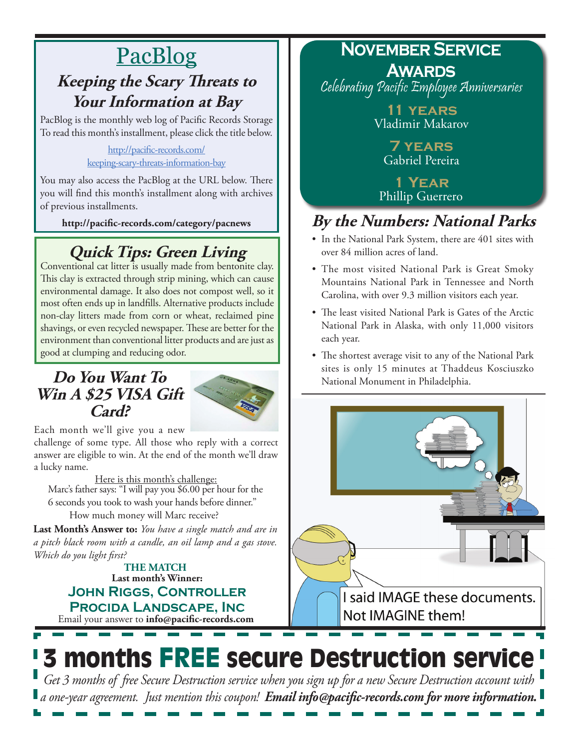### PacBlog **Keeping the Scary Threats to Your Information at Bay**

PacBlog is the monthly web log of Pacific Records Storage To read this month's installment, please click the title below.

> [http://pacific-records.com/](http://pacific-records.com/keeping-scary-threats-information-bay) [keeping-scary-threats-information-bay](http://pacific-records.com/keeping-scary-threats-information-bay)

You may also access the PacBlog at the URL below. There you will find this month's installment along with archives of previous installments.

**http://pacific-records.com/category/pacnews**

### **Quick Tips: Green Living**

Conventional cat litter is usually made from bentonite clay. This clay is extracted through strip mining, which can cause environmental damage. It also does not compost well, so it most often ends up in landfills. Alternative products include non-clay litters made from corn or wheat, reclaimed pine shavings, or even recycled newspaper. These are better for the environment than conventional litter products and are just as good at clumping and reducing odor.

#### **Do You Want To Win A \$25 VISA Gift Card?**



Each month we'll give you a new challenge of some type. All those who reply with a correct answer are eligible to win. At the end of the month we'll draw a lucky name.

Here is this month's challenge: Marc's father says: "I will pay you \$6.00 per hour for the 6 seconds you took to wash your hands before dinner." How much money will Marc receive?

**Last Month's Answer to:** *You have a single match and are in a pitch black room with a candle, an oil lamp and a gas stove. Which do you light first?*

> Email your answer to **info@pacific-records.com Last month's Winner: John Riggs, Controller Procida Landscape, Inc THE MATCH**

## **November Service**

**Awards** Celebrating Pacific Employee Anniversaries

> **11 years** Vladimir Makarov

> > **7 years** Gabriel Pereira

**1 Year** Phillip Guerrero

### **By the Numbers: National Parks**

- In the National Park System, there are 401 sites with over 84 million acres of land.
- The most visited National Park is Great Smoky Mountains National Park in Tennessee and North Carolina, with over 9.3 million visitors each year.
- The least visited National Park is Gates of the Arctic National Park in Alaska, with only 11,000 visitors each year.
- The shortest average visit to any of the National Park sites is only 15 minutes at Thaddeus Kosciuszko National Monument in Philadelphia.



# 3 months FREE secure Destruction service

*Get 3 months of free Secure Destruction service when you sign up for a new Secure Destruction account with a one-year agreement. Just mention this coupon! Email info@pacific-records.com for more information.*